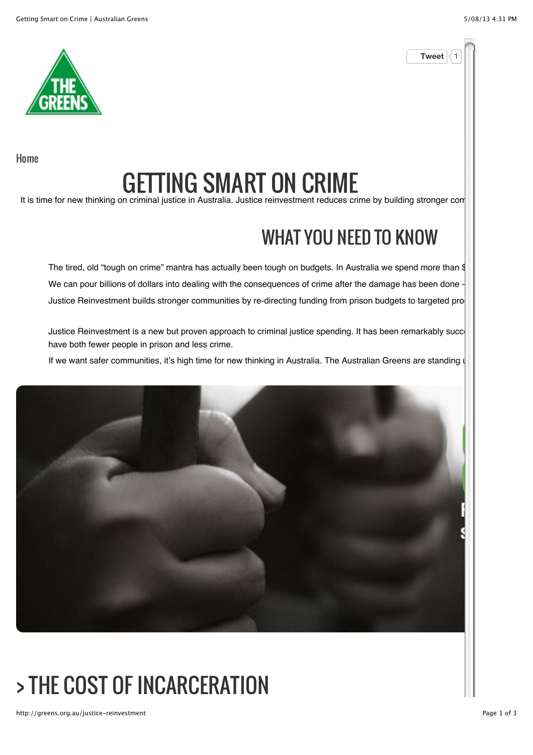**Tweet** 



Home

# GETTING SMART ON CRIME

It is time for new thinking on criminal justice in Australia. Justice reinvestment reduces crime by building stronger com

#### WHAT YOU NEED TO KNOW

The tired, old "tough on crime" mantra has actually been tough on budgets. In Australia we spend more than  $\frac{d}{dt}$ We can pour billions of dollars into dealing with the consequences of crime after the damage has been done Justice Reinvestment builds stronger communities by re-directing funding from prison budgets to targeted pro

Justice Reinvestment is a new but proven approach to criminal justice spending. It has been remarkably succe have both fewer people in prison and less crime.

If we want safer communities, it's high time for new thinking in Australia. The Australian Greens are standing u



# > THE COST OF INCARCERATION

http://greens.org.au/justice-reinvestment expansion and the expansion of 3 and 2 of 3 and 2 of 3 and 2 of 3 and 2 of 3 and 2 of 3 and 2 of 3 and 2 of 3 and 2 of 3 and 2 of 3 and 2 of 3 and 2 of 3 and 2 of 3 and 2 of 3 and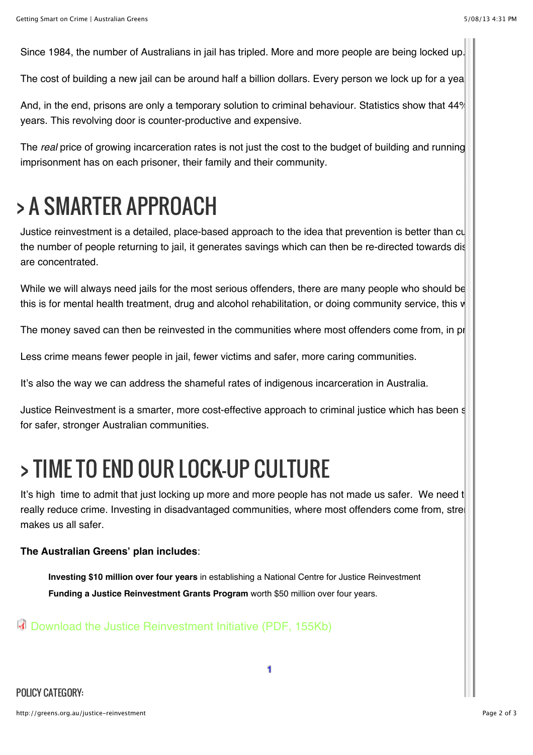Since 1984, the number of Australians in jail has tripled. More and more people are being locked up.

The cost of building a new jail can be around half a billion dollars. Every person we lock up for a yea

And, in the end, prisons are only a temporary solution to criminal behaviour. Statistics show that 44% years. This revolving door is counter-productive and expensive.

The *real* price of growing incarceration rates is not just the cost to the budget of building and running imprisonment has on each prisoner, their family and their community.

## > A SMARTER APPROACH

Justice reinvestment is a detailed, place-based approach to the idea that prevention is better than  $\text{cl}$ the number of people returning to jail, it generates savings which can then be re-directed towards dis are concentrated.

While we will always need jails for the most serious offenders, there are many people who should be this is for mental health treatment, drug and alcohol rehabilitation, or doing community service, this  $\mathsf{w}$ 

The money saved can then be reinvested in the communities where most offenders come from, in proven to reduce can

Less crime means fewer people in jail, fewer victims and safer, more caring communities.

It's also the way we can address the shameful rates of indigenous incarceration in Australia.

Justice Reinvestment is a smarter, more cost-effective approach to criminal justice which has been  $s$ for safer, stronger Australian communities.

### > TIME TO END OUR LOCK-UP CULTURE

It's high time to admit that just locking up more and more people has not made us safer. We need t really reduce crime. Investing in disadvantaged communities, where most offenders come from, stre makes us all safer.

#### **The Australian Greens' plan includes**:

**Investing \$10 million over four years** in establishing a National Centre for Justice Reinvestment **Funding a Justice Reinvestment Grants Program** worth \$50 million over four years.

Download the Justice Reinvestment Initiative (PDF, 155Kb)

POLICY CATEGORY: